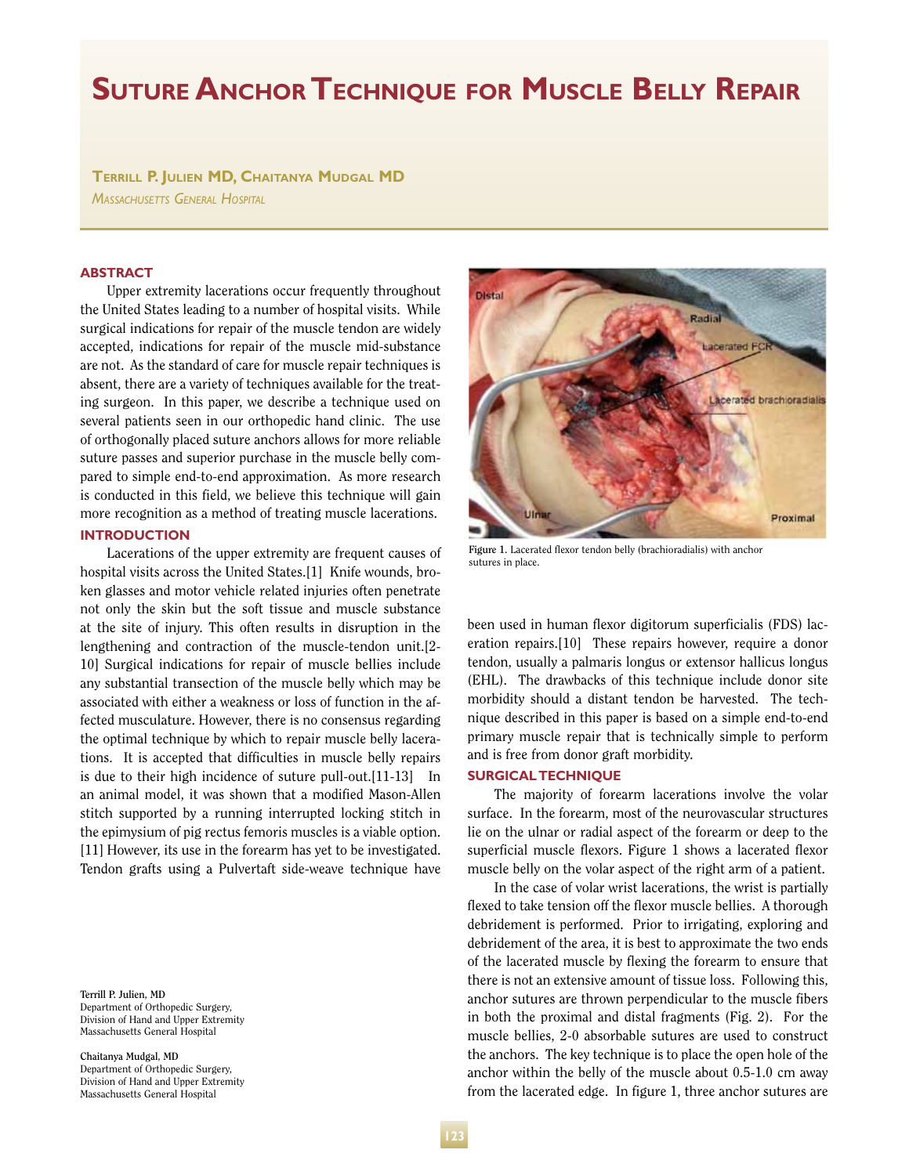# **Suture Anchor Technique for Muscle Belly Repair**

**Terrill P. Julien MD, Chaitanya Mudgal MD** *Massachusetts General Hospital*

#### **ABSTRACT**

Upper extremity lacerations occur frequently throughout the United States leading to a number of hospital visits. While surgical indications for repair of the muscle tendon are widely accepted, indications for repair of the muscle mid-substance are not. As the standard of care for muscle repair techniques is absent, there are a variety of techniques available for the treating surgeon. In this paper, we describe a technique used on several patients seen in our orthopedic hand clinic. The use of orthogonally placed suture anchors allows for more reliable suture passes and superior purchase in the muscle belly compared to simple end-to-end approximation. As more research is conducted in this field, we believe this technique will gain more recognition as a method of treating muscle lacerations.

## **INTRODUCTION**

Lacerations of the upper extremity are frequent causes of hospital visits across the United States.[1] Knife wounds, broken glasses and motor vehicle related injuries often penetrate not only the skin but the soft tissue and muscle substance at the site of injury. This often results in disruption in the lengthening and contraction of the muscle-tendon unit.[2- 10] Surgical indications for repair of muscle bellies include any substantial transection of the muscle belly which may be associated with either a weakness or loss of function in the affected musculature. However, there is no consensus regarding the optimal technique by which to repair muscle belly lacerations. It is accepted that difficulties in muscle belly repairs is due to their high incidence of suture pull-out.[11-13] In an animal model, it was shown that a modified Mason-Allen stitch supported by a running interrupted locking stitch in the epimysium of pig rectus femoris muscles is a viable option. [11] However, its use in the forearm has yet to be investigated. Tendon grafts using a Pulvertaft side-weave technique have

**Terrill P. Julien, MD** Department of Orthopedic Surgery, Division of Hand and Upper Extremity Massachusetts General Hospital

**Chaitanya Mudgal, MD**  Department of Orthopedic Surgery, Division of Hand and Upper Extremity Massachusetts General Hospital



**Figure 1.** Lacerated flexor tendon belly (brachioradialis) with anchor sutures in place.

been used in human flexor digitorum superficialis (FDS) laceration repairs.[10] These repairs however, require a donor tendon, usually a palmaris longus or extensor hallicus longus (EHL). The drawbacks of this technique include donor site morbidity should a distant tendon be harvested. The technique described in this paper is based on a simple end-to-end primary muscle repair that is technically simple to perform and is free from donor graft morbidity.

## **SURGICAL TECHNIQUE**

The majority of forearm lacerations involve the volar surface. In the forearm, most of the neurovascular structures lie on the ulnar or radial aspect of the forearm or deep to the superficial muscle flexors. Figure 1 shows a lacerated flexor muscle belly on the volar aspect of the right arm of a patient.

In the case of volar wrist lacerations, the wrist is partially flexed to take tension off the flexor muscle bellies. A thorough debridement is performed. Prior to irrigating, exploring and debridement of the area, it is best to approximate the two ends of the lacerated muscle by flexing the forearm to ensure that there is not an extensive amount of tissue loss. Following this, anchor sutures are thrown perpendicular to the muscle fibers in both the proximal and distal fragments (Fig. 2). For the muscle bellies, 2-0 absorbable sutures are used to construct the anchors. The key technique is to place the open hole of the anchor within the belly of the muscle about 0.5-1.0 cm away from the lacerated edge. In figure 1, three anchor sutures are